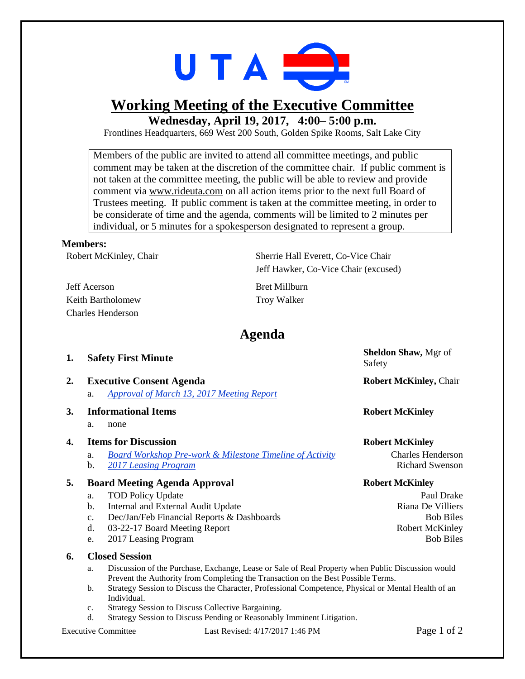

## **Working Meeting of the Executive Committee**

**Wednesday, April 19, 2017, 4:00– 5:00 p.m.**

Frontlines Headquarters, 669 West 200 South, Golden Spike Rooms, Salt Lake City

Members of the public are invited to attend all committee meetings, and public comment may be taken at the discretion of the committee chair. If public comment is not taken at the committee meeting, the public will be able to review and provide comment via [www.rideuta.com](http://www.rideuta.com/) on all action items prior to the next full Board of Trustees meeting. If public comment is taken at the committee meeting, in order to be considerate of time and the agenda, comments will be limited to 2 minutes per individual, or 5 minutes for a spokesperson designated to represent a group.

## **Members:**

Robert McKinley, Chair Sherrie Hall Everett, Co-Vice Chair

Jeff Acerson Bret Millburn Keith Bartholomew Troy Walker Charles Henderson

Jeff Hawker, Co-Vice Chair (excused)

## **Agenda**

| 1. | <b>Safety First Minute</b>                                                         | Sheldon Shaw, Mgr of<br>Safety |
|----|------------------------------------------------------------------------------------|--------------------------------|
| 2. | <b>Executive Consent Agenda</b><br>Approval of March 13, 2017 Meeting Report<br>a. | <b>Robert McKinley, Chair</b>  |
| 3. | <b>Informational Items</b><br>a.<br>none                                           | <b>Robert McKinley</b>         |
| 4. | <b>Items for Discussion</b>                                                        | <b>Robert McKinley</b>         |
|    | <b>Board Workshop Pre-work &amp; Milestone Timeline of Activity</b><br>a.          | <b>Charles Henderson</b>       |
|    | b.<br>2017 Leasing Program                                                         | <b>Richard Swenson</b>         |
| 5. | <b>Board Meeting Agenda Approval</b>                                               | <b>Robert McKinley</b>         |
|    | <b>TOD Policy Update</b><br>a.                                                     | Paul Drake                     |
|    | Internal and External Audit Update<br>b.                                           | Riana De Villiers              |
|    | Dec/Jan/Feb Financial Reports & Dashboards<br>c.                                   | <b>Bob Biles</b>               |
|    | d.<br>03-22-17 Board Meeting Report                                                | <b>Robert McKinley</b>         |
|    |                                                                                    |                                |

e. 2017 Leasing Program Bob Biles

## **6. Closed Session**

- a. Discussion of the Purchase, Exchange, Lease or Sale of Real Property when Public Discussion would Prevent the Authority from Completing the Transaction on the Best Possible Terms.
- b. Strategy Session to Discuss the Character, Professional Competence, Physical or Mental Health of an Individual.
- c. Strategy Session to Discuss Collective Bargaining.
- d. Strategy Session to Discuss Pending or Reasonably Imminent Litigation.

Executive Committee Last Revised: 4/17/2017 1:46 PM Page 1 of 2